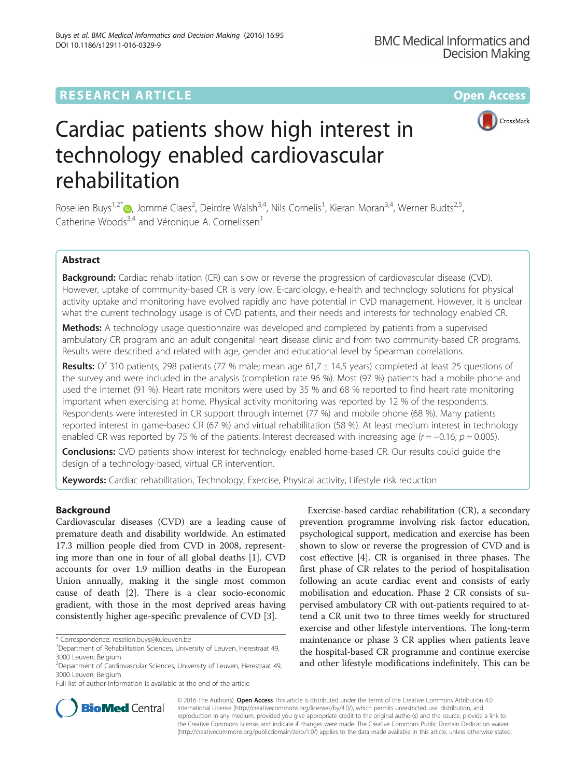## **RESEARCH ARTICLE Example 2018 12:00 Department of the Contract Open Access**



# Cardiac patients show high interest in technology enabled cardiovascular rehabilitation

Roselien Buys<sup>1,2[\\*](http://orcid.org/0000-0001-8379-3971)</sup>®, Jomme Claes<sup>2</sup>, Deirdre Walsh<sup>3,4</sup>, Nils Cornelis<sup>1</sup>, Kieran Moran<sup>3,4</sup>, Werner Budts<sup>2,5</sup>, Catherine Woods<sup>3,4</sup> and Véronique A. Cornelissen<sup>1</sup>

## Abstract

Background: Cardiac rehabilitation (CR) can slow or reverse the progression of cardiovascular disease (CVD). However, uptake of community-based CR is very low. E-cardiology, e-health and technology solutions for physical activity uptake and monitoring have evolved rapidly and have potential in CVD management. However, it is unclear what the current technology usage is of CVD patients, and their needs and interests for technology enabled CR.

**Methods:** A technology usage questionnaire was developed and completed by patients from a supervised ambulatory CR program and an adult congenital heart disease clinic and from two community-based CR programs. Results were described and related with age, gender and educational level by Spearman correlations.

Results: Of 310 patients, 298 patients (77 % male; mean age 61,7 ± 14,5 years) completed at least 25 questions of the survey and were included in the analysis (completion rate 96 %). Most (97 %) patients had a mobile phone and used the internet (91 %). Heart rate monitors were used by 35 % and 68 % reported to find heart rate monitoring important when exercising at home. Physical activity monitoring was reported by 12 % of the respondents. Respondents were interested in CR support through internet (77 %) and mobile phone (68 %). Many patients reported interest in game-based CR (67 %) and virtual rehabilitation (58 %). At least medium interest in technology enabled CR was reported by 75 % of the patients. Interest decreased with increasing age ( $r = -0.16$ ;  $p = 0.005$ ).

**Conclusions:** CVD patients show interest for technology enabled home-based CR. Our results could guide the design of a technology-based, virtual CR intervention.

Keywords: Cardiac rehabilitation, Technology, Exercise, Physical activity, Lifestyle risk reduction

## Background

Cardiovascular diseases (CVD) are a leading cause of premature death and disability worldwide. An estimated 17.3 million people died from CVD in 2008, representing more than one in four of all global deaths [[1\]](#page-7-0). CVD accounts for over 1.9 million deaths in the European Union annually, making it the single most common cause of death [\[2\]](#page-7-0). There is a clear socio-economic gradient, with those in the most deprived areas having consistently higher age-specific prevalence of CVD [\[3](#page-7-0)].

Exercise-based cardiac rehabilitation (CR), a secondary prevention programme involving risk factor education, psychological support, medication and exercise has been shown to slow or reverse the progression of CVD and is cost effective [\[4](#page-7-0)]. CR is organised in three phases. The first phase of CR relates to the period of hospitalisation following an acute cardiac event and consists of early mobilisation and education. Phase 2 CR consists of supervised ambulatory CR with out-patients required to attend a CR unit two to three times weekly for structured exercise and other lifestyle interventions. The long-term maintenance or phase 3 CR applies when patients leave the hospital-based CR programme and continue exercise and other lifestyle modifications indefinitely. This can be



© 2016 The Author(s). Open Access This article is distributed under the terms of the Creative Commons Attribution 4.0 International License [\(http://creativecommons.org/licenses/by/4.0/](http://creativecommons.org/licenses/by/4.0/)), which permits unrestricted use, distribution, and reproduction in any medium, provided you give appropriate credit to the original author(s) and the source, provide a link to the Creative Commons license, and indicate if changes were made. The Creative Commons Public Domain Dedication waiver [\(http://creativecommons.org/publicdomain/zero/1.0/](http://creativecommons.org/publicdomain/zero/1.0/)) applies to the data made available in this article, unless otherwise stated.

<sup>\*</sup> Correspondence: [roselien.buys@kuleuven.be](mailto:roselien.buys@kuleuven.be) <sup>1</sup>

<sup>&</sup>lt;sup>1</sup>Department of Rehabilitation Sciences, University of Leuven, Herestraat 49, 3000 Leuven, Belgium

<sup>&</sup>lt;sup>2</sup>Department of Cardiovascular Sciences, University of Leuven, Herestraat 49, 3000 Leuven, Belgium

Full list of author information is available at the end of the article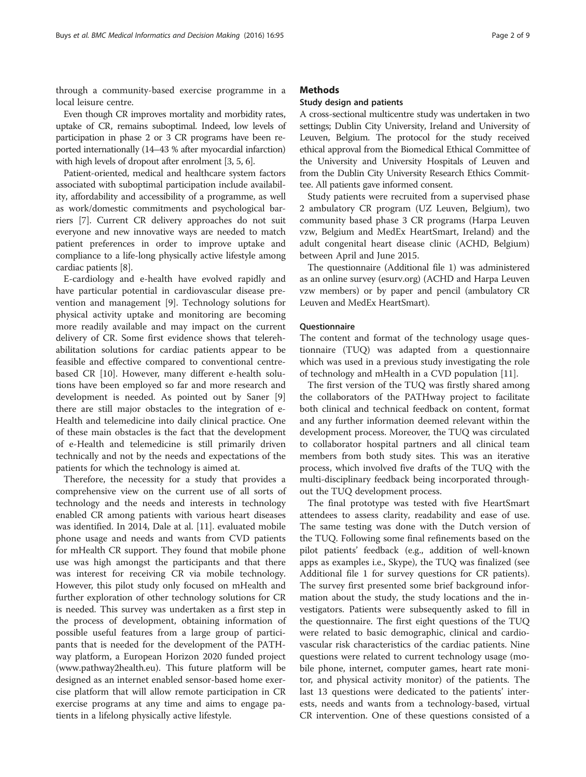through a community-based exercise programme in a local leisure centre.

Even though CR improves mortality and morbidity rates, uptake of CR, remains suboptimal. Indeed, low levels of participation in phase 2 or 3 CR programs have been reported internationally (14–43 % after myocardial infarction) with high levels of dropout after enrolment [\[3, 5, 6](#page-7-0)].

Patient-oriented, medical and healthcare system factors associated with suboptimal participation include availability, affordability and accessibility of a programme, as well as work/domestic commitments and psychological barriers [\[7\]](#page-7-0). Current CR delivery approaches do not suit everyone and new innovative ways are needed to match patient preferences in order to improve uptake and compliance to a life-long physically active lifestyle among cardiac patients [\[8\]](#page-7-0).

E-cardiology and e-health have evolved rapidly and have particular potential in cardiovascular disease prevention and management [[9\]](#page-7-0). Technology solutions for physical activity uptake and monitoring are becoming more readily available and may impact on the current delivery of CR. Some first evidence shows that telerehabilitation solutions for cardiac patients appear to be feasible and effective compared to conventional centrebased CR [[10](#page-7-0)]. However, many different e-health solutions have been employed so far and more research and development is needed. As pointed out by Saner [\[9](#page-7-0)] there are still major obstacles to the integration of e-Health and telemedicine into daily clinical practice. One of these main obstacles is the fact that the development of e-Health and telemedicine is still primarily driven technically and not by the needs and expectations of the patients for which the technology is aimed at.

Therefore, the necessity for a study that provides a comprehensive view on the current use of all sorts of technology and the needs and interests in technology enabled CR among patients with various heart diseases was identified. In 2014, Dale at al. [[11\]](#page-7-0). evaluated mobile phone usage and needs and wants from CVD patients for mHealth CR support. They found that mobile phone use was high amongst the participants and that there was interest for receiving CR via mobile technology. However, this pilot study only focused on mHealth and further exploration of other technology solutions for CR is needed. This survey was undertaken as a first step in the process of development, obtaining information of possible useful features from a large group of participants that is needed for the development of the PATHway platform, a European Horizon 2020 funded project ([www.pathway2health.eu](http://www.pathway2health.eu)). This future platform will be designed as an internet enabled sensor-based home exercise platform that will allow remote participation in CR exercise programs at any time and aims to engage patients in a lifelong physically active lifestyle.

## **Methods**

### Study design and patients

A cross-sectional multicentre study was undertaken in two settings; Dublin City University, Ireland and University of Leuven, Belgium. The protocol for the study received ethical approval from the Biomedical Ethical Committee of the University and University Hospitals of Leuven and from the Dublin City University Research Ethics Committee. All patients gave informed consent.

Study patients were recruited from a supervised phase 2 ambulatory CR program (UZ Leuven, Belgium), two community based phase 3 CR programs (Harpa Leuven vzw, Belgium and MedEx HeartSmart, Ireland) and the adult congenital heart disease clinic (ACHD, Belgium) between April and June 2015.

The questionnaire (Additional file [1\)](#page-7-0) was administered as an online survey (esurv.org) (ACHD and Harpa Leuven vzw members) or by paper and pencil (ambulatory CR Leuven and MedEx HeartSmart).

## **Ouestionnaire**

The content and format of the technology usage questionnaire (TUQ) was adapted from a questionnaire which was used in a previous study investigating the role of technology and mHealth in a CVD population [[11\]](#page-7-0).

The first version of the TUQ was firstly shared among the collaborators of the PATHway project to facilitate both clinical and technical feedback on content, format and any further information deemed relevant within the development process. Moreover, the TUQ was circulated to collaborator hospital partners and all clinical team members from both study sites. This was an iterative process, which involved five drafts of the TUQ with the multi-disciplinary feedback being incorporated throughout the TUQ development process.

The final prototype was tested with five HeartSmart attendees to assess clarity, readability and ease of use. The same testing was done with the Dutch version of the TUQ. Following some final refinements based on the pilot patients' feedback (e.g., addition of well-known apps as examples i.e., Skype), the TUQ was finalized (see Additional file [1](#page-7-0) for survey questions for CR patients). The survey first presented some brief background information about the study, the study locations and the investigators. Patients were subsequently asked to fill in the questionnaire. The first eight questions of the TUQ were related to basic demographic, clinical and cardiovascular risk characteristics of the cardiac patients. Nine questions were related to current technology usage (mobile phone, internet, computer games, heart rate monitor, and physical activity monitor) of the patients. The last 13 questions were dedicated to the patients' interests, needs and wants from a technology-based, virtual CR intervention. One of these questions consisted of a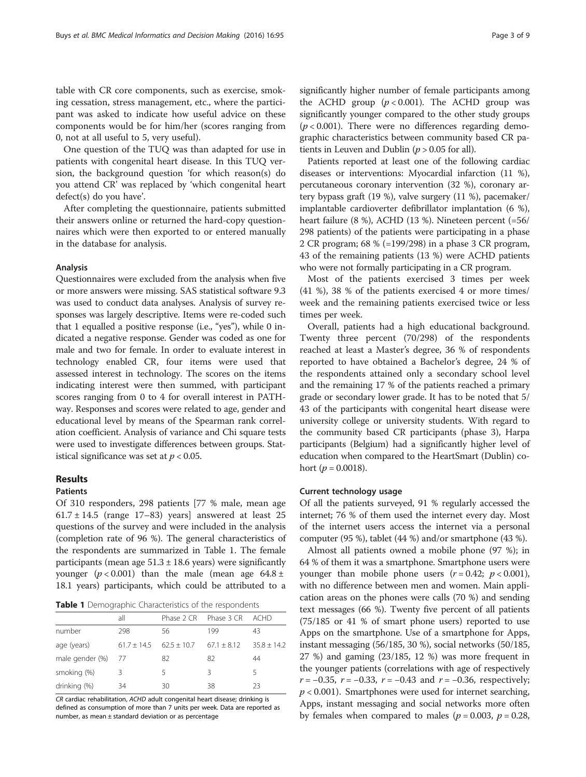table with CR core components, such as exercise, smoking cessation, stress management, etc., where the participant was asked to indicate how useful advice on these components would be for him/her (scores ranging from 0, not at all useful to 5, very useful).

One question of the TUQ was than adapted for use in patients with congenital heart disease. In this TUQ version, the background question 'for which reason(s) do you attend CR' was replaced by 'which congenital heart defect(s) do you have'.

After completing the questionnaire, patients submitted their answers online or returned the hard-copy questionnaires which were then exported to or entered manually in the database for analysis.

#### Analysis

Questionnaires were excluded from the analysis when five or more answers were missing. SAS statistical software 9.3 was used to conduct data analyses. Analysis of survey responses was largely descriptive. Items were re-coded such that 1 equalled a positive response (i.e., "yes"), while 0 indicated a negative response. Gender was coded as one for male and two for female. In order to evaluate interest in technology enabled CR, four items were used that assessed interest in technology. The scores on the items indicating interest were then summed, with participant scores ranging from 0 to 4 for overall interest in PATHway. Responses and scores were related to age, gender and educational level by means of the Spearman rank correlation coefficient. Analysis of variance and Chi square tests were used to investigate differences between groups. Statistical significance was set at  $p < 0.05$ .

## Results

#### Patients

Of 310 responders, 298 patients [77 % male, mean age  $61.7 \pm 14.5$  (range 17–83) years] answered at least 25 questions of the survey and were included in the analysis (completion rate of 96 %). The general characteristics of the respondents are summarized in Table 1. The female participants (mean age  $51.3 \pm 18.6$  years) were significantly younger ( $p < 0.001$ ) than the male (mean age  $64.8 \pm$ 18.1 years) participants, which could be attributed to a

Table 1 Demographic Characteristics of the respondents

|                    | all           |               | Phase 2 CR Phase 3 CR | - ACHD        |
|--------------------|---------------|---------------|-----------------------|---------------|
| number             | 298           | 56            | 199                   | 43            |
| age (years)        | $61.7 + 14.5$ | $62.5 + 10.7$ | $67.1 + 8.12$         | $35.8 + 14.2$ |
| male gender (%) 77 |               | 82            | 82                    | 44            |
| smoking (%)        | ζ             | 5             | 3                     | 5             |
| drinking (%)       | 34            | 30            | 38                    | 23            |

CR cardiac rehabilitation, ACHD adult congenital heart disease; drinking is defined as consumption of more than 7 units per week. Data are reported as number, as mean ± standard deviation or as percentage

significantly higher number of female participants among the ACHD group  $(p < 0.001)$ . The ACHD group was significantly younger compared to the other study groups  $(p < 0.001)$ . There were no differences regarding demographic characteristics between community based CR patients in Leuven and Dublin ( $p > 0.05$  for all).

Patients reported at least one of the following cardiac diseases or interventions: Myocardial infarction (11 %), percutaneous coronary intervention (32 %), coronary artery bypass graft (19 %), valve surgery (11 %), pacemaker/ implantable cardioverter defibrillator implantation (6 %), heart failure (8 %), ACHD (13 %). Nineteen percent (=56/ 298 patients) of the patients were participating in a phase 2 CR program; 68 % (=199/298) in a phase 3 CR program, 43 of the remaining patients (13 %) were ACHD patients who were not formally participating in a CR program.

Most of the patients exercised 3 times per week (41 %), 38 % of the patients exercised 4 or more times/ week and the remaining patients exercised twice or less times per week.

Overall, patients had a high educational background. Twenty three percent (70/298) of the respondents reached at least a Master's degree, 36 % of respondents reported to have obtained a Bachelor's degree, 24 % of the respondents attained only a secondary school level and the remaining 17 % of the patients reached a primary grade or secondary lower grade. It has to be noted that 5/ 43 of the participants with congenital heart disease were university college or university students. With regard to the community based CR participants (phase 3), Harpa participants (Belgium) had a significantly higher level of education when compared to the HeartSmart (Dublin) cohort ( $p = 0.0018$ ).

#### Current technology usage

Of all the patients surveyed, 91 % regularly accessed the internet; 76 % of them used the internet every day. Most of the internet users access the internet via a personal computer (95 %), tablet (44 %) and/or smartphone (43 %).

Almost all patients owned a mobile phone (97 %); in 64 % of them it was a smartphone. Smartphone users were younger than mobile phone users  $(r = 0.42; p < 0.001)$ , with no difference between men and women. Main application areas on the phones were calls (70 %) and sending text messages (66 %). Twenty five percent of all patients (75/185 or 41 % of smart phone users) reported to use Apps on the smartphone. Use of a smartphone for Apps, instant messaging (56/185, 30 %), social networks (50/185, 27 %) and gaming (23/185, 12 %) was more frequent in the younger patients (correlations with age of respectively  $r = -0.35$ ,  $r = -0.33$ ,  $r = -0.43$  and  $r = -0.36$ , respectively;  $p < 0.001$ ). Smartphones were used for internet searching, Apps, instant messaging and social networks more often by females when compared to males ( $p = 0.003$ ,  $p = 0.28$ ,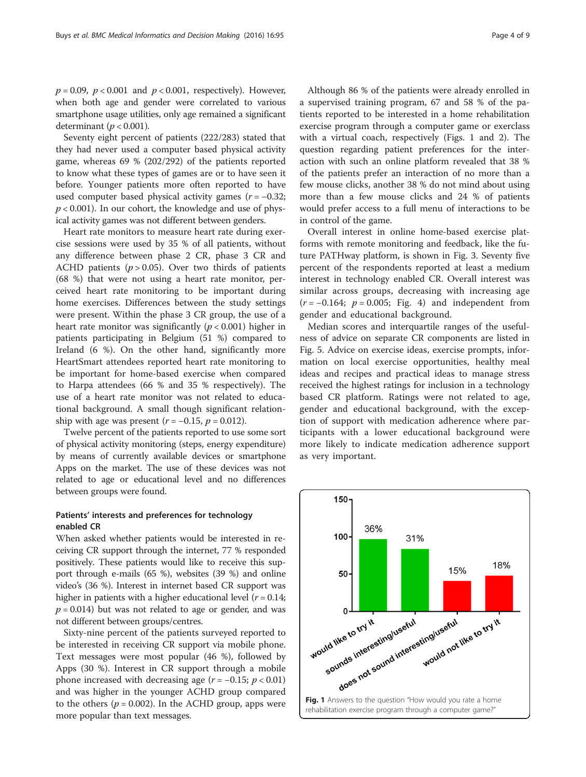$p = 0.09$ ,  $p < 0.001$  and  $p < 0.001$ , respectively). However, when both age and gender were correlated to various smartphone usage utilities, only age remained a significant determinant ( $p < 0.001$ ).

Seventy eight percent of patients (222/283) stated that they had never used a computer based physical activity game, whereas 69 % (202/292) of the patients reported to know what these types of games are or to have seen it before. Younger patients more often reported to have used computer based physical activity games  $(r = -0.32)$ ;  $p < 0.001$ ). In our cohort, the knowledge and use of physical activity games was not different between genders.

Heart rate monitors to measure heart rate during exercise sessions were used by 35 % of all patients, without any difference between phase 2 CR, phase 3 CR and ACHD patients ( $p > 0.05$ ). Over two thirds of patients (68 %) that were not using a heart rate monitor, perceived heart rate monitoring to be important during home exercises. Differences between the study settings were present. Within the phase 3 CR group, the use of a heart rate monitor was significantly ( $p < 0.001$ ) higher in patients participating in Belgium (51 %) compared to Ireland (6 %). On the other hand, significantly more HeartSmart attendees reported heart rate monitoring to be important for home-based exercise when compared to Harpa attendees (66 % and 35 % respectively). The use of a heart rate monitor was not related to educational background. A small though significant relationship with age was present  $(r = -0.15, p = 0.012)$ .

Twelve percent of the patients reported to use some sort of physical activity monitoring (steps, energy expenditure) by means of currently available devices or smartphone Apps on the market. The use of these devices was not related to age or educational level and no differences between groups were found.

## Patients' interests and preferences for technology enabled CR

When asked whether patients would be interested in receiving CR support through the internet, 77 % responded positively. These patients would like to receive this support through e-mails (65 %), websites (39 %) and online video's (36 %). Interest in internet based CR support was higher in patients with a higher educational level  $(r = 0.14;$  $p = 0.014$ ) but was not related to age or gender, and was not different between groups/centres.

Sixty-nine percent of the patients surveyed reported to be interested in receiving CR support via mobile phone. Text messages were most popular (46 %), followed by Apps (30 %). Interest in CR support through a mobile phone increased with decreasing age  $(r = -0.15; p < 0.01)$ and was higher in the younger ACHD group compared to the others ( $p = 0.002$ ). In the ACHD group, apps were more popular than text messages.

Although 86 % of the patients were already enrolled in a supervised training program, 67 and 58 % of the patients reported to be interested in a home rehabilitation exercise program through a computer game or exerclass with a virtual coach, respectively (Figs. 1 and [2](#page-4-0)). The question regarding patient preferences for the interaction with such an online platform revealed that 38 % of the patients prefer an interaction of no more than a few mouse clicks, another 38 % do not mind about using more than a few mouse clicks and 24 % of patients would prefer access to a full menu of interactions to be in control of the game.

Overall interest in online home-based exercise platforms with remote monitoring and feedback, like the future PATHway platform, is shown in Fig. [3.](#page-4-0) Seventy five percent of the respondents reported at least a medium interest in technology enabled CR. Overall interest was similar across groups, decreasing with increasing age  $(r = -0.164; p = 0.005; Fig. 4)$  $(r = -0.164; p = 0.005; Fig. 4)$  and independent from gender and educational background.

Median scores and interquartile ranges of the usefulness of advice on separate CR components are listed in Fig. [5](#page-5-0). Advice on exercise ideas, exercise prompts, information on local exercise opportunities, healthy meal ideas and recipes and practical ideas to manage stress received the highest ratings for inclusion in a technology based CR platform. Ratings were not related to age, gender and educational background, with the exception of support with medication adherence where participants with a lower educational background were more likely to indicate medication adherence support as very important.

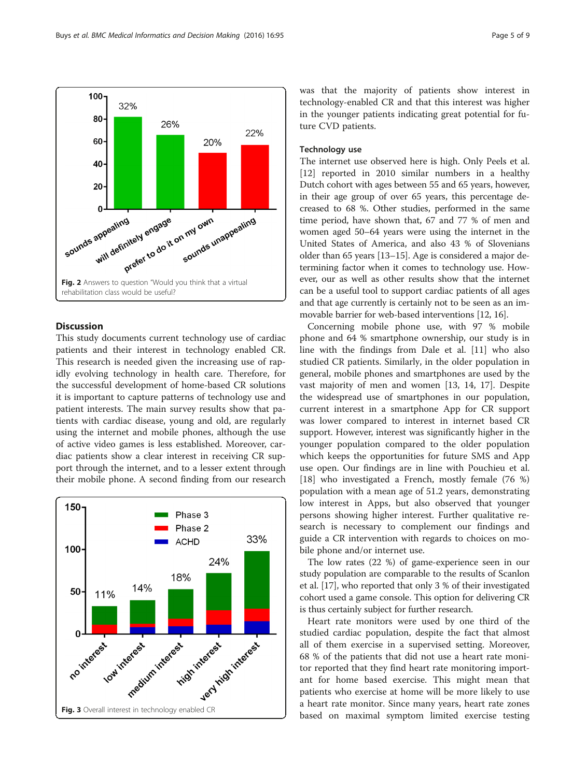<span id="page-4-0"></span>Buys et al. BMC Medical Informatics and Decision Making (2016) 16:95 **Page 1 and 2018** Page 5 of 9



## **Discussion**

This study documents current technology use of cardiac patients and their interest in technology enabled CR. This research is needed given the increasing use of rapidly evolving technology in health care. Therefore, for the successful development of home-based CR solutions it is important to capture patterns of technology use and patient interests. The main survey results show that patients with cardiac disease, young and old, are regularly using the internet and mobile phones, although the use of active video games is less established. Moreover, cardiac patients show a clear interest in receiving CR support through the internet, and to a lesser extent through their mobile phone. A second finding from our research



was that the majority of patients show interest in technology-enabled CR and that this interest was higher in the younger patients indicating great potential for future CVD patients.

### Technology use

The internet use observed here is high. Only Peels et al. [[12\]](#page-7-0) reported in 2010 similar numbers in a healthy Dutch cohort with ages between 55 and 65 years, however, in their age group of over 65 years, this percentage decreased to 68 %. Other studies, performed in the same time period, have shown that, 67 and 77 % of men and women aged 50–64 years were using the internet in the United States of America, and also 43 % of Slovenians older than 65 years [[13](#page-7-0)–[15\]](#page-7-0). Age is considered a major determining factor when it comes to technology use. However, our as well as other results show that the internet can be a useful tool to support cardiac patients of all ages and that age currently is certainly not to be seen as an immovable barrier for web-based interventions [[12](#page-7-0), [16\]](#page-7-0).

Concerning mobile phone use, with 97 % mobile phone and 64 % smartphone ownership, our study is in line with the findings from Dale et al. [\[11\]](#page-7-0) who also studied CR patients. Similarly, in the older population in general, mobile phones and smartphones are used by the vast majority of men and women [\[13](#page-7-0), [14, 17](#page-7-0)]. Despite the widespread use of smartphones in our population, current interest in a smartphone App for CR support was lower compared to interest in internet based CR support. However, interest was significantly higher in the younger population compared to the older population which keeps the opportunities for future SMS and App use open. Our findings are in line with Pouchieu et al. [[18\]](#page-7-0) who investigated a French, mostly female (76 %) population with a mean age of 51.2 years, demonstrating low interest in Apps, but also observed that younger persons showing higher interest. Further qualitative research is necessary to complement our findings and guide a CR intervention with regards to choices on mobile phone and/or internet use.

The low rates (22 %) of game-experience seen in our study population are comparable to the results of Scanlon et al. [[17](#page-7-0)], who reported that only 3 % of their investigated cohort used a game console. This option for delivering CR is thus certainly subject for further research.

Heart rate monitors were used by one third of the studied cardiac population, despite the fact that almost all of them exercise in a supervised setting. Moreover, 68 % of the patients that did not use a heart rate monitor reported that they find heart rate monitoring important for home based exercise. This might mean that patients who exercise at home will be more likely to use a heart rate monitor. Since many years, heart rate zones based on maximal symptom limited exercise testing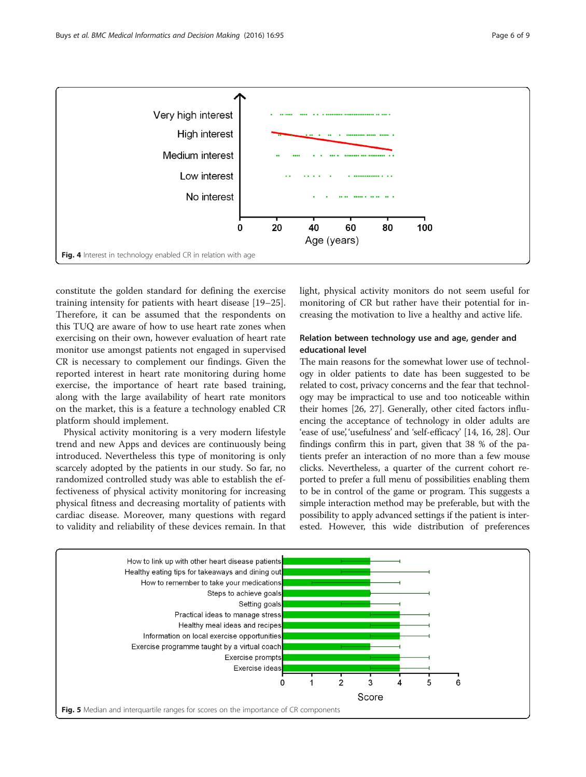<span id="page-5-0"></span>

constitute the golden standard for defining the exercise training intensity for patients with heart disease [[19](#page-7-0)–[25](#page-8-0)]. Therefore, it can be assumed that the respondents on this TUQ are aware of how to use heart rate zones when exercising on their own, however evaluation of heart rate monitor use amongst patients not engaged in supervised CR is necessary to complement our findings. Given the reported interest in heart rate monitoring during home exercise, the importance of heart rate based training, along with the large availability of heart rate monitors on the market, this is a feature a technology enabled CR platform should implement.

Physical activity monitoring is a very modern lifestyle trend and new Apps and devices are continuously being introduced. Nevertheless this type of monitoring is only scarcely adopted by the patients in our study. So far, no randomized controlled study was able to establish the effectiveness of physical activity monitoring for increasing physical fitness and decreasing mortality of patients with cardiac disease. Moreover, many questions with regard to validity and reliability of these devices remain. In that light, physical activity monitors do not seem useful for monitoring of CR but rather have their potential for increasing the motivation to live a healthy and active life.

## Relation between technology use and age, gender and educational level

The main reasons for the somewhat lower use of technology in older patients to date has been suggested to be related to cost, privacy concerns and the fear that technology may be impractical to use and too noticeable within their homes [\[26, 27](#page-8-0)]. Generally, other cited factors influencing the acceptance of technology in older adults are 'ease of use', 'usefulness' and 'self-efficacy' [[14](#page-7-0), [16](#page-7-0), [28\]](#page-8-0). Our findings confirm this in part, given that 38 % of the patients prefer an interaction of no more than a few mouse clicks. Nevertheless, a quarter of the current cohort reported to prefer a full menu of possibilities enabling them to be in control of the game or program. This suggests a simple interaction method may be preferable, but with the possibility to apply advanced settings if the patient is interested. However, this wide distribution of preferences

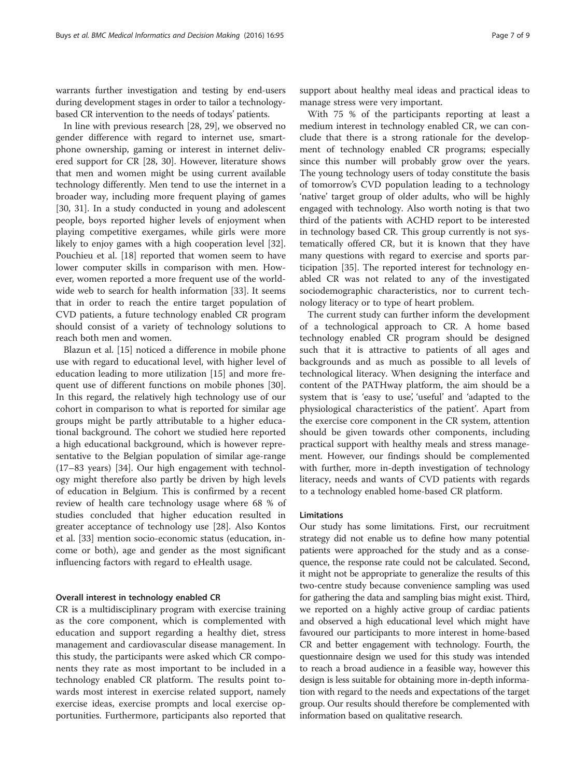warrants further investigation and testing by end-users during development stages in order to tailor a technologybased CR intervention to the needs of todays' patients.

In line with previous research [\[28, 29\]](#page-8-0), we observed no gender difference with regard to internet use, smartphone ownership, gaming or interest in internet delivered support for CR [\[28](#page-8-0), [30\]](#page-8-0). However, literature shows that men and women might be using current available technology differently. Men tend to use the internet in a broader way, including more frequent playing of games [[30, 31\]](#page-8-0). In a study conducted in young and adolescent people, boys reported higher levels of enjoyment when playing competitive exergames, while girls were more likely to enjoy games with a high cooperation level [\[32](#page-8-0)]. Pouchieu et al. [\[18\]](#page-7-0) reported that women seem to have lower computer skills in comparison with men. However, women reported a more frequent use of the worldwide web to search for health information [[33\]](#page-8-0). It seems that in order to reach the entire target population of CVD patients, a future technology enabled CR program should consist of a variety of technology solutions to reach both men and women.

Blazun et al. [[15\]](#page-7-0) noticed a difference in mobile phone use with regard to educational level, with higher level of education leading to more utilization [[15](#page-7-0)] and more frequent use of different functions on mobile phones [\[30](#page-8-0)]. In this regard, the relatively high technology use of our cohort in comparison to what is reported for similar age groups might be partly attributable to a higher educational background. The cohort we studied here reported a high educational background, which is however representative to the Belgian population of similar age-range (17–83 years) [\[34](#page-8-0)]. Our high engagement with technology might therefore also partly be driven by high levels of education in Belgium. This is confirmed by a recent review of health care technology usage where 68 % of studies concluded that higher education resulted in greater acceptance of technology use [[28](#page-8-0)]. Also Kontos et al. [[33\]](#page-8-0) mention socio-economic status (education, income or both), age and gender as the most significant influencing factors with regard to eHealth usage.

## Overall interest in technology enabled CR

CR is a multidisciplinary program with exercise training as the core component, which is complemented with education and support regarding a healthy diet, stress management and cardiovascular disease management. In this study, the participants were asked which CR components they rate as most important to be included in a technology enabled CR platform. The results point towards most interest in exercise related support, namely exercise ideas, exercise prompts and local exercise opportunities. Furthermore, participants also reported that support about healthy meal ideas and practical ideas to manage stress were very important.

With 75 % of the participants reporting at least a medium interest in technology enabled CR, we can conclude that there is a strong rationale for the development of technology enabled CR programs; especially since this number will probably grow over the years. The young technology users of today constitute the basis of tomorrow's CVD population leading to a technology 'native' target group of older adults, who will be highly engaged with technology. Also worth noting is that two third of the patients with ACHD report to be interested in technology based CR. This group currently is not systematically offered CR, but it is known that they have many questions with regard to exercise and sports participation [\[35\]](#page-8-0). The reported interest for technology enabled CR was not related to any of the investigated sociodemographic characteristics, nor to current technology literacy or to type of heart problem.

The current study can further inform the development of a technological approach to CR. A home based technology enabled CR program should be designed such that it is attractive to patients of all ages and backgrounds and as much as possible to all levels of technological literacy. When designing the interface and content of the PATHway platform, the aim should be a system that is 'easy to use', 'useful' and 'adapted to the physiological characteristics of the patient'. Apart from the exercise core component in the CR system, attention should be given towards other components, including practical support with healthy meals and stress management. However, our findings should be complemented with further, more in-depth investigation of technology literacy, needs and wants of CVD patients with regards to a technology enabled home-based CR platform.

#### Limitations

Our study has some limitations. First, our recruitment strategy did not enable us to define how many potential patients were approached for the study and as a consequence, the response rate could not be calculated. Second, it might not be appropriate to generalize the results of this two-centre study because convenience sampling was used for gathering the data and sampling bias might exist. Third, we reported on a highly active group of cardiac patients and observed a high educational level which might have favoured our participants to more interest in home-based CR and better engagement with technology. Fourth, the questionnaire design we used for this study was intended to reach a broad audience in a feasible way, however this design is less suitable for obtaining more in-depth information with regard to the needs and expectations of the target group. Our results should therefore be complemented with information based on qualitative research.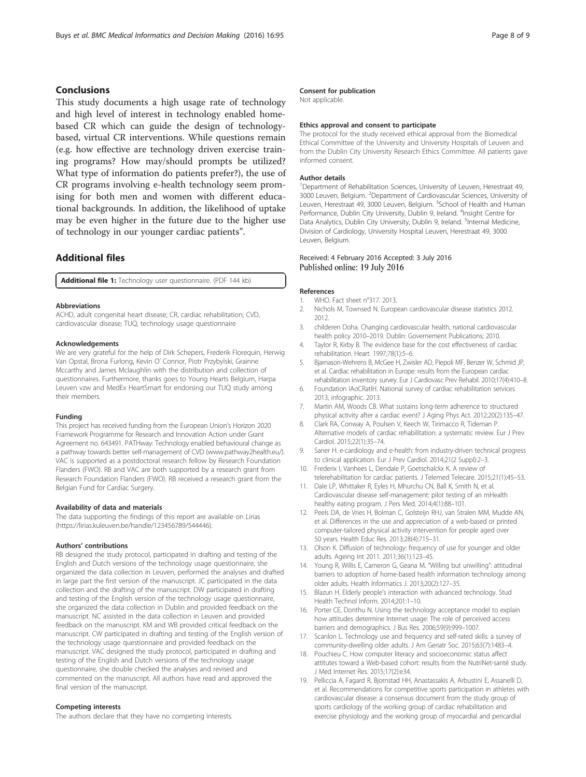## <span id="page-7-0"></span>Conclusions

This study documents a high usage rate of technology and high level of interest in technology enabled homebased CR which can guide the design of technologybased, virtual CR interventions. While questions remain (e.g. how effective are technology driven exercise training programs? How may/should prompts be utilized? What type of information do patients prefer?), the use of CR programs involving e-health technology seem promising for both men and women with different educational backgrounds. In addition, the likelihood of uptake may be even higher in the future due to the higher use of technology in our younger cardiac patients".

## Additional files

[Additional file 1:](dx.doi.org/10.1186/s12911-016-0329-9) Technology user questionnaire. (PDF 144 kb)

#### Abbreviations

ACHD, adult congenital heart disease; CR, cardiac rehabilitation; CVD, cardiovascular disease; TUQ, technology usage questionnaire

#### Acknowledgements

We are very grateful for the help of Dirk Schepers, Frederik Florequin, Herwig Van Opstal, Brona Furlong, Kevin O' Connor, Piotr Przybylski, Grainne Mccarthy and James Mclaughlin with the distribution and collection of questionnaires. Furthermore, thanks goes to Young Hearts Belgium, Harpa Leuven vzw and MedEx HeartSmart for endorsing our TUQ study among their members.

#### Funding

This project has received funding from the European Union's Horizon 2020 Framework Programme for Research and Innovation Action under Grant Agreement no. 643491. PATHway: Technology enabled behavioural change as a pathway towards better self-management of CVD [\(www.pathway2health.eu/](http://www.pathway2health.eu/)). VAC is supported as a postdoctoral research fellow by Research Foundation Flanders (FWO). RB and VAC are both supported by a research grant from Research Foundation Flanders (FWO). RB received a research grant from the Belgian Fund for Cardiac Surgery.

#### Availability of data and materials

The data supporting the findings of this report are available on Lirias ([https://lirias.kuleuven.be/handle/123456789/544446\)](https://lirias.kuleuven.be/handle/123456789/544446).

#### Authors' contributions

RB designed the study protocol, participated in drafting and testing of the English and Dutch versions of the technology usage questionnaire, she organized the data collection in Leuven, performed the analyses and drafted in large part the first version of the manuscript. JC participated in the data collection and the drafting of the manuscript. DW participated in drafting and testing of the English version of the technology usage questionnaire, she organized the data collection in Dublin and provided feedback on the manuscript. NC assisted in the data collection in Leuven and provided feedback on the manuscript. KM and WB provided critical feedback on the manuscript. CW participated in drafting and testing of the English version of the technology usage questionnaire and provided feedback on the manuscript. VAC designed the study protocol, participated in drafting and testing of the English and Dutch versions of the technology usage questionnaire, she double checked the analyses and revised and commented on the manuscript. All authors have read and approved the final version of the manuscript.

#### Competing interests

The authors declare that they have no competing interests.

#### Consent for publication

Not applicable.

#### Ethics approval and consent to participate

The protocol for the study received ethical approval from the Biomedical Ethical Committee of the University and University Hospitals of Leuven and from the Dublin City University Research Ethics Committee. All patients gave informed consent.

#### Author details

<sup>1</sup>Department of Rehabilitation Sciences, University of Leuven, Herestraat 49, 3000 Leuven, Belgium. <sup>2</sup>Department of Cardiovascular Sciences, University of Leuven, Herestraat 49, 3000 Leuven, Belgium. <sup>3</sup>School of Health and Human Performance, Dublin City University, Dublin 9, Ireland. <sup>4</sup>Insight Centre for Data Analytics, Dublin City University, Dublin 9, Ireland. <sup>5</sup>Internal Medicine, Division of Cardiology, University Hospital Leuven, Herestraat 49, 3000 Leuven, Belgium.

## Received: 4 February 2016 Accepted: 3 July 2016 Published online: 19 July 2016

#### References

- WHO. Fact sheet n°317, 2013.
- 2. Nichols M, Townsed N. European cardiovascular disease statistics 2012. 2012.
- 3. childeren Doha. Changing cardiovascular health, national cardiovascular health policy 2010–2019. Dublin: Governement Publications; 2010.
- 4. Taylor R, Kirby B. The evidence base for the cost effectiveness of cardiac rehabilitation. Heart. 1997;78(1):5–6.
- 5. Bjarnason-Wehrens B, McGee H, Zwisler AD, Piepoli MF, Benzer W, Schmid JP, et al. Cardiac rehabilitation in Europe: results from the European cardiac rehabilitation inventory survey. Eur J Cardiovasc Prev Rehabil. 2010;17(4):410–8.
- 6. Foundation IAoCRatIH. National survey of cardiac rehabilitation services 2013, infographic. 2013.
- 7. Martin AM, Woods CB. What sustains long-term adherence to structured physical activity after a cardiac event? J Aging Phys Act. 2012;20(2):135–47.
- 8. Clark RA, Conway A, Poulsen V, Keech W, Tirimacco R, Tideman P. Alternative models of cardiac rehabilitation: a systematic review. Eur J Prev Cardiol. 2015;22(1):35–74.
- Saner H. e-cardiology and e-health: from industry-driven technical progress to clinical application. Eur J Prev Cardiol. 2014;21(2 Suppl):2–3.
- 10. Frederix I, Vanhees L, Dendale P, Goetschalckx K. A review of telerehabilitation for cardiac patients. J Telemed Telecare. 2015;21(1):45–53.
- 11. Dale LP, Whittaker R, Eyles H, Mhurchu CN, Ball K, Smith N, et al. Cardiovascular disease self-management: pilot testing of an mHealth healthy eating program. J Pers Med. 2014;4(1):88–101.
- 12. Peels DA, de Vries H, Bolman C, Golsteijn RHJ, van Stralen MM, Mudde AN, et al. Differences in the use and appreciation of a web-based or printed computer-tailored physical activity intervention for people aged over 50 years. Health Educ Res. 2013;28(4):715–31.
- 13. Olson K. Diffusion of technology: frequency of use for younger and older adults. Ageing Int 2011. 2011;36(1):123–45.
- 14. Young R, Willis E, Cameron G, Geana M. "Willing but unwilling": attitudinal barriers to adoption of home-based health information technology among older adults. Health Informatics J. 2013;20(2):127–35.
- 15. Blazun H. Elderly people's interaction with advanced technology. Stud Health Technol Inform. 2014;201:1–10.
- 16. Porter CE, Donthu N. Using the technology acceptance model to explain how attitudes determine Internet usage: The role of perceived access barriers and demographics. J Bus Res. 2006;59(9):999–1007.
- 17. Scanlon L. Technology use and frequency and self-rated skills: a survey of community-dwelling older adults. J Am Geriatr Soc. 2015;63(7):1483–4.
- 18. Pouchieu C. How computer literacy and socioeconomic status affect attitutes toward a Web-based cohort: results from the NutriNet-santé study. J Med Internet Res. 2015;17(2):e34.
- 19. Pelliccia A, Fagard R, Bjornstad HH, Anastassakis A, Arbustini E, Assanelli D, et al. Recommendations for competitive sports participation in athletes with cardiovascular disease: a consensus document from the study group of sports cardiology of the working group of cardiac rehabilitation and exercise physiology and the working group of myocardial and pericardial